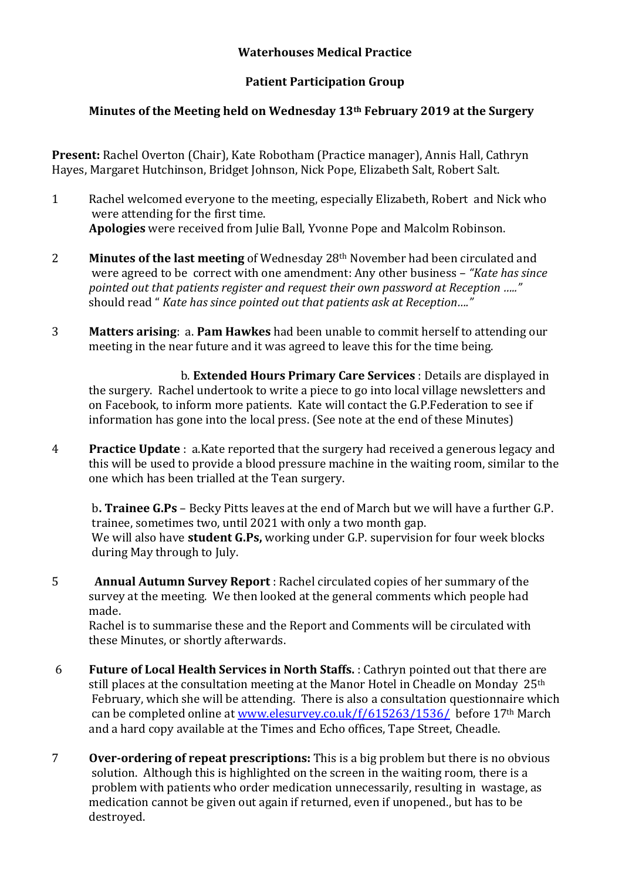## **Waterhouses Medical Practice**

## **Patient Participation Group**

## **Minutes of the Meeting held on Wednesday 13th February 2019 at the Surgery**

**Present:** Rachel Overton (Chair), Kate Robotham (Practice manager), Annis Hall, Cathryn Hayes, Margaret Hutchinson, Bridget Johnson, Nick Pope, Elizabeth Salt, Robert Salt.

- 1 Rachel welcomed everyone to the meeting, especially Elizabeth, Robert and Nick who were attending for the first time. **Apologies** were received from Julie Ball, Yvonne Pope and Malcolm Robinson.
- 2 **Minutes of the last meeting** of Wednesday 28th November had been circulated and were agreed to be correct with one amendment: Any other business – *"Kate has since pointed out that patients register and request their own password at Reception ….."*  should read " *Kate has since pointed out that patients ask at Reception…."*
- 3 **Matters arising**: a. **Pam Hawkes** had been unable to commit herself to attending our meeting in the near future and it was agreed to leave this for the time being.

 b. **Extended Hours Primary Care Services** : Details are displayed in the surgery. Rachel undertook to write a piece to go into local village newsletters and on Facebook, to inform more patients. Kate will contact the G.P.Federation to see if information has gone into the local press. (See note at the end of these Minutes)

4 **Practice Update** : a.Kate reported that the surgery had received a generous legacy and this will be used to provide a blood pressure machine in the waiting room, similar to the one which has been trialled at the Tean surgery.

b**. Trainee G.Ps** – Becky Pitts leaves at the end of March but we will have a further G.P. trainee, sometimes two, until 2021 with only a two month gap. We will also have **student G.Ps,** working under G.P. supervision for four week blocks during May through to July.

5 **Annual Autumn Survey Report** : Rachel circulated copies of her summary of the survey at the meeting. We then looked at the general comments which people had made.

Rachel is to summarise these and the Report and Comments will be circulated with these Minutes, or shortly afterwards.

- 6 **Future of Local Health Services in North Staffs.** : Cathryn pointed out that there are still places at the consultation meeting at the Manor Hotel in Cheadle on Monday 25<sup>th</sup> February, which she will be attending. There is also a consultation questionnaire which can be completed online at [www.elesurvey.co.uk/f/615263/1536/](http://www.elesurvey.co.uk/f/615263/1536/) before 17th March and a hard copy available at the Times and Echo offices, Tape Street, Cheadle.
- 7 **Over-ordering of repeat prescriptions:** This is a big problem but there is no obvious solution. Although this is highlighted on the screen in the waiting room, there is a problem with patients who order medication unnecessarily, resulting in wastage, as medication cannot be given out again if returned, even if unopened., but has to be destroyed.